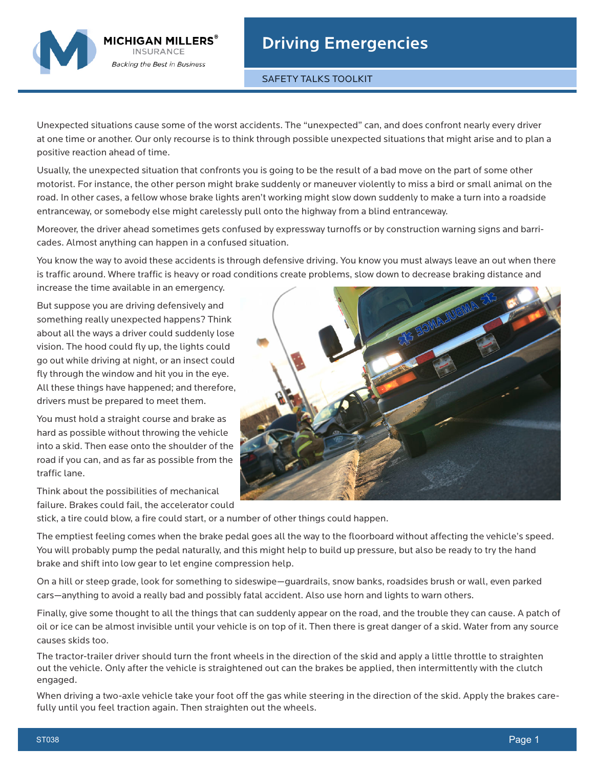

SAFETY TALKS TOOLKIT

Unexpected situations cause some of the worst accidents. The "unexpected" can, and does confront nearly every driver at one time or another. Our only recourse is to think through possible unexpected situations that might arise and to plan a positive reaction ahead of time.

Usually, the unexpected situation that confronts you is going to be the result of a bad move on the part of some other motorist. For instance, the other person might brake suddenly or maneuver violently to miss a bird or small animal on the road. In other cases, a fellow whose brake lights aren't working might slow down suddenly to make a turn into a roadside entranceway, or somebody else might carelessly pull onto the highway from a blind entranceway.

Moreover, the driver ahead sometimes gets confused by expressway turnoffs or by construction warning signs and barricades. Almost anything can happen in a confused situation.

You know the way to avoid these accidents is through defensive driving. You know you must always leave an out when there is traffic around. Where traffic is heavy or road conditions create problems, slow down to decrease braking distance and

increase the time available in an emergency.

MICHIGAN MILLERS® **INSURANCE Backing the Best in Business** 

But suppose you are driving defensively and something really unexpected happens? Think about all the ways a driver could suddenly lose vision. The hood could fly up, the lights could go out while driving at night, or an insect could fly through the window and hit you in the eye. All these things have happened; and therefore, drivers must be prepared to meet them.

You must hold a straight course and brake as hard as possible without throwing the vehicle into a skid. Then ease onto the shoulder of the road if you can, and as far as possible from the traffic lane.

Think about the possibilities of mechanical failure. Brakes could fail, the accelerator could



stick, a tire could blow, a fire could start, or a number of other things could happen.

The emptiest feeling comes when the brake pedal goes all the way to the floorboard without affecting the vehicle's speed. You will probably pump the pedal naturally, and this might help to build up pressure, but also be ready to try the hand brake and shift into low gear to let engine compression help.

On a hill or steep grade, look for something to sideswipe—guardrails, snow banks, roadsides brush or wall, even parked cars—anything to avoid a really bad and possibly fatal accident. Also use horn and lights to warn others.

Finally, give some thought to all the things that can suddenly appear on the road, and the trouble they can cause. A patch of oil or ice can be almost invisible until your vehicle is on top of it. Then there is great danger of a skid. Water from any source causes skids too.

The tractor-trailer driver should turn the front wheels in the direction of the skid and apply a little throttle to straighten out the vehicle. Only after the vehicle is straightened out can the brakes be applied, then intermittently with the clutch engaged.

When driving a two-axle vehicle take your foot off the gas while steering in the direction of the skid. Apply the brakes carefully until you feel traction again. Then straighten out the wheels.